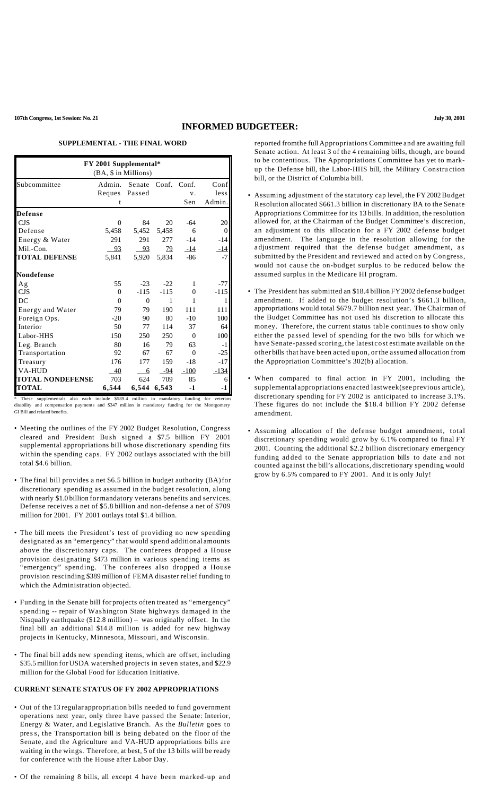#### **INFORMED BUDGETEER:**

### **SUPPLEMENTAL - THE FINAL WORD**

| <b>FY 2001 Supplemental*</b><br>(BA, \$ in Millions) |                    |               |             |           |                        |  |  |  |  |
|------------------------------------------------------|--------------------|---------------|-------------|-----------|------------------------|--|--|--|--|
| Subcommittee                                         | Reques Passed<br>t | Admin. Senate | Conf. Conf. | V.<br>Sen | Conf<br>less<br>Admin. |  |  |  |  |
| <b>Defense</b>                                       |                    |               |             |           |                        |  |  |  |  |
| CJS                                                  | 0                  | 84            | 20          | $-64$     | 20                     |  |  |  |  |
| Defense                                              | 5,458              | 5,452         | 5,458       | 6         | 0                      |  |  |  |  |
| Energy & Water                                       | 291                | 291           | 277         | $-14$     | $-14$                  |  |  |  |  |
| Mil.-Con.                                            | 93                 | 93            | 79          | $-14$     |                        |  |  |  |  |
| <b>TOTAL DEFENSE</b>                                 | 5.841              | 5,920         | 5,834       | $-86$     |                        |  |  |  |  |
| <b>Nondefense</b>                                    |                    |               |             |           |                        |  |  |  |  |
| Ag                                                   | 55                 | $-23$         | $-22$       | 1         | -77                    |  |  |  |  |
| <b>CJS</b>                                           | $\Omega$           | $-115$        | $-115$      | $\Omega$  | $-115$                 |  |  |  |  |
| DC                                                   | $\Omega$           | $\Omega$      | 1           | 1         |                        |  |  |  |  |
| Energy and Water                                     | 79                 | 79            | 190         | 111       | 111                    |  |  |  |  |
| Foreign Ops.                                         | $-20$              | 90            | 80          | $-10$     | 100                    |  |  |  |  |
| Interior                                             | 50                 | 77            | 114         | 37        | 64                     |  |  |  |  |
| Labor-HHS                                            | 150                | 250           | 250         | $\Omega$  | 100                    |  |  |  |  |
| Leg. Branch                                          | 80                 | 16            | 79          | 63        | $-1$                   |  |  |  |  |
| Transportation                                       | 92                 | 67            | 67          | $\Omega$  | $-25$                  |  |  |  |  |
| Treasury                                             | 176                | 177           | 159         | $-18$     | $-17$                  |  |  |  |  |
| <b>VA-HUD</b>                                        | 40                 | 6             | -94         | $-100$    | -134                   |  |  |  |  |
| <b>TOTAL NONDEFENSE</b>                              | 703                | 624           | 709         | 85        |                        |  |  |  |  |
| <b>TOTAL</b>                                         | 6,544              | 6,544         | 6,543       | $-1$      | -1                     |  |  |  |  |

These supplementals also each include \$589.4 million in mandatory funding for veterans disability and compensation payments and \$347 million in mandatory funding for the Montgomery GI Bill and related benefits.

- Meeting the outlines of the FY 2002 Budget Resolution, Congress cleared and President Bush signed a \$7.5 billion FY 2001 supplemental appropriations bill whose discretionary spending fits within the spending caps. FY 2002 outlays associated with the bill total \$4.6 billion.
- The final bill provides a net \$6.5 billion in budget authority (BA)for discretionary spending as assumed in the budget resolution, along with nearly \$1.0 billion formandatory veterans benefits and services. Defense receives a net of \$5.8 billion and non-defense a net of \$709 million for 2001. FY 2001 outlays total \$1.4 billion.
- The bill meets the President's test of providing no new spending designated as an "emergency" that would spend additional amounts above the discretionary caps. The conferees dropped a House provision designating \$473 million in various spending items as "emergency" spending. The conferees also dropped a House provision rescinding \$389 million of FEMA disaster relief funding to which the Administration objected.
- Funding in the Senate bill for projects often treated as "emergency" spending -- repair of Washington State highways damaged in the Nisqually earthquake (\$12.8 million) – was originally offset. In the final bill an additional \$14.8 million is added for new highway projects in Kentucky, Minnesota, Missouri, and Wisconsin.
- The final bill adds new spending items, which are offset, including \$35.5 million for USDA watershed projects in seven states, and \$22.9 million for the Global Food for Education Initiative.

#### **CURRENT SENATE STATUS OF FY 2002 APPROPRIATIONS**

- Out of the 13 regular appropriation bills needed to fund government operations next year, only three have passed the Senate: Interior, Energy & Water, and Legislative Branch. As the *Bulletin* goes to press, the Transportation bill is being debated on the floor of the Senate, and the Agriculture and VA-HUD appropriations bills are waiting in the wings. Therefore, at best, 5 of the 13 bills will be ready for conference with the House after Labor Day.
- Of the remaining 8 bills, all except 4 have been marked-up and

reported fromthe full Appropriations Committee and are awaiting full Senate action. At least 3 of the 4 remaining bills, though, are bound to be contentious. The Appropriations Committee has yet to markup the Defense bill, the Labor-HHS bill, the Military Constru ction bill, or the District of Columbia bill.

- Assuming adjustment of the statutory cap level, the FY2002Budget Resolution allocated \$661.3 billion in discretionary BA to the Senate Appropriations Committee for its 13 bills. In addition, the resolution allowed for, at the Chairman of the Budget Committee's discretion, an adjustment to this allocation for a FY 2002 defense budget amendment. The language in the resolution allowing for the a djustment required that the defense budget amendment, as submitted by the President and reviewed and acted on by Congress, would not cause the on-budget surplus to be reduced below the assumed surplus in the Medicare HI program.
- The President has submitted an \$18.4 billion FY2002 defense budget amendment. If added to the budget resolution's \$661.3 billion, appropriations would total \$679.7 billion next year. The Chairman of the Budget Committee has not used his discretion to allocate this money. Therefore, the current status table continues to show only either the passed level of spending for the two bills for which we have Senate-passed scoring, the latest cost estimate available on the other bills that have been acted upon, or the assumed allocation from the Appropriation Committee's 302(b) allocation.
- When compared to final action in FY 2001, including the supplemental appropriations enacted lastweek(see previous article), discretionary spending for FY 2002 is anticipated to increase 3.1%. These figures do not include the \$18.4 billion FY 2002 defense amendment.
- Assuming allocation of the defense budget amendment, total discretionary spending would grow by 6.1% compared to final FY 2001. Counting the additional \$2.2 billion discretionary emergency funding ad ded to the Senate appropriation bills to date and not counted against the bill's allocations, discretionary spending would grow by 6.5% compared to FY 2001. And it is only July!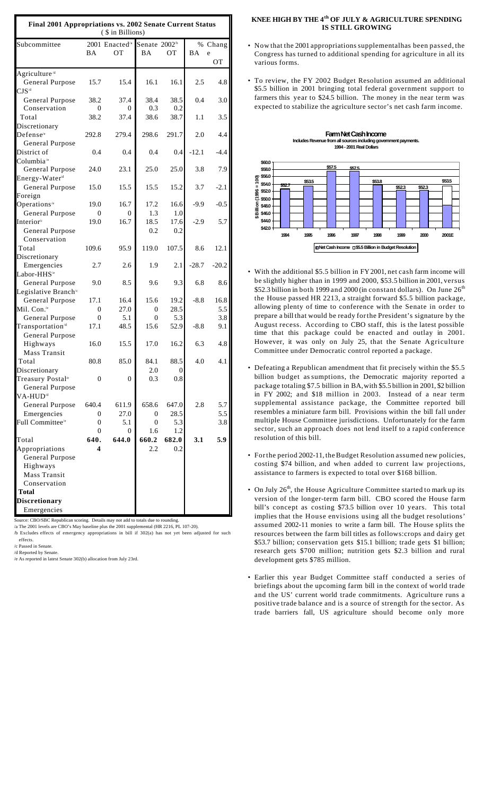| Final 2001 Appropriations vs. 2002 Senate Current Status<br>(\$ in Billions) |                |                            |                          |       |         |         |  |  |
|------------------------------------------------------------------------------|----------------|----------------------------|--------------------------|-------|---------|---------|--|--|
| Subcommittee                                                                 |                | 2001 Enacted <sup>/a</sup> | Senate 2002 <sup>b</sup> |       |         | % Chang |  |  |
|                                                                              | ΒA             | ОT                         | ВA                       | OТ    | BA      | e       |  |  |
|                                                                              |                |                            |                          |       |         | OТ      |  |  |
| Agriculture <sup>/d</sup>                                                    |                |                            |                          |       |         |         |  |  |
| <b>General Purpose</b>                                                       | 15.7           | 15.4                       | 16.1                     | 16.1  | 2.5     | 4.8     |  |  |
| $CJS$ <sup><math>d</math></sup>                                              |                |                            |                          |       |         |         |  |  |
| General Purpose                                                              | 38.2           | 37.4                       | 38.4                     | 38.5  | 0.4     | 3.0     |  |  |
| Conservation                                                                 | $\Omega$       | 0                          | 0.3                      | 0.2   |         |         |  |  |
| Total                                                                        | 38.2           | 37.4                       | 38.6                     | 38.7  | 1.1     | 3.5     |  |  |
| Discretionary                                                                |                |                            |                          |       |         |         |  |  |
| Defense <sup>/e</sup>                                                        | 292.8          | 279.4                      | 298.6                    | 291.7 | 2.0     | 4.4     |  |  |
| General Purpose                                                              |                |                            |                          |       |         |         |  |  |
| District of                                                                  | 0.4            | 0.4                        | 0.4                      | 0.4   | $-12.1$ | $-4.4$  |  |  |
| Columbia <sup>/e</sup>                                                       |                |                            |                          |       |         |         |  |  |
| General Purpose                                                              | 24.0           | 23.1                       | 25.0                     | 25.0  | 3.8     | 7.9     |  |  |
| Energy-Water <sup>d</sup>                                                    |                |                            |                          |       |         |         |  |  |
| General Purpose                                                              | 15.0           | 15.5                       | 15.5                     | 15.2  | 3.7     | $-2.1$  |  |  |
| Foreign                                                                      |                |                            |                          |       |         |         |  |  |
| Operations <sup>/e</sup>                                                     | 19.0           | 16.7                       | 17.2                     | 16.6  | $-9.9$  | $-0.5$  |  |  |
| General Purpose                                                              | 0              | $\Omega$                   | 1.3                      | 1.0   |         |         |  |  |
| Interior <sup>®</sup>                                                        | 19.0           | 16.7                       | 18.5                     | 17.6  | -2.9    | 5.7     |  |  |
| General Purpose                                                              |                |                            | 0.2                      | 0.2   |         |         |  |  |
| Conservation                                                                 |                |                            |                          |       |         |         |  |  |
| Total                                                                        | 109.6          | 95.9                       | 119.0                    | 107.5 | 8.6     | 12.1    |  |  |
| Discretionary                                                                |                |                            |                          |       |         |         |  |  |
| Emergencies                                                                  | 2.7            | 2.6                        | 1.9                      | 2.1   | $-28.7$ | $-20.2$ |  |  |
| Labor-HHS <sup>/e</sup>                                                      |                |                            |                          |       |         |         |  |  |
| General Purpose                                                              | 9.0            | 8.5                        | 9.6                      | 9.3   | 6.8     | 8.6     |  |  |
| Legislative Branch <sup>®</sup>                                              |                |                            |                          |       |         |         |  |  |
| General Purpose                                                              | 17.1           | 16.4                       | 15.6                     | 19.2  | $-8.8$  | 16.8    |  |  |
| Mil. Con. <sup>/e</sup>                                                      | $\overline{0}$ | 27.0                       | $\overline{0}$           | 28.5  |         | 5.5     |  |  |
| General Purpose                                                              | $\overline{0}$ | 5.1                        | $\overline{0}$           | 5.3   |         | 3.8     |  |  |
| Transportation <sup>/d</sup>                                                 | 17.1           | 48.5                       | 15.6                     | 52.9  | $-8.8$  | 9.1     |  |  |
| General Purpose                                                              |                |                            |                          |       |         |         |  |  |
| Highways                                                                     | 16.0           | 15.5                       | 17.0                     | 16.2  | 6.3     | 4.8     |  |  |
| Mass Transit                                                                 |                |                            |                          |       |         |         |  |  |
| Total                                                                        | 80.8           | 85.0                       | 84.1                     | 88.5  | 4.0     | 4.1     |  |  |
| Discretionary                                                                |                |                            | 2.0                      | 0     |         |         |  |  |
| Treasury Postal <sup>/e</sup>                                                | 0              | 0                          | 0.3                      | 0.8   |         |         |  |  |
| General Purpose                                                              |                |                            |                          |       |         |         |  |  |
| VA-HUD <sup>/d</sup>                                                         |                |                            |                          |       |         |         |  |  |
| General Purpose                                                              | 640.4          | 611.9                      | 658.6                    | 647.0 | 2.8     | 5.7     |  |  |
| Emergencies                                                                  | 0              | 27.0                       | 0                        | 28.5  |         | 5.5     |  |  |
| Full Committee <sup>/e</sup>                                                 | $\overline{0}$ | 5.1                        | 0                        | 5.3   |         | 3.8     |  |  |
|                                                                              | 0              | 0                          | 1.6                      | 1.2   |         |         |  |  |
| Total                                                                        | 640.           | 644.0                      | 660.2                    | 682.0 | 3.1     | 5.9     |  |  |
| Appropriations                                                               | 4              |                            | 2.2                      | 0.2   |         |         |  |  |
| General Purpose                                                              |                |                            |                          |       |         |         |  |  |
| Highways                                                                     |                |                            |                          |       |         |         |  |  |
| Mass Transit                                                                 |                |                            |                          |       |         |         |  |  |
| Conservation                                                                 |                |                            |                          |       |         |         |  |  |
| <b>Total</b>                                                                 |                |                            |                          |       |         |         |  |  |
| <b>Discretionary</b>                                                         |                |                            |                          |       |         |         |  |  |
| Emergencies                                                                  |                |                            |                          |       |         |         |  |  |

urce: CBO/SBC Republican scoring. Details may not add to totals due

/a The 2001 levels are CBO's May baseline plus the 2001 supplemental (HR 2216, PL 107-20). /b Excludes effects of emergency appropriations in bill if 302(a) has not yet been adjusted for such effects.

/c Passed in Senate.

/d Reported by Senate.

/e As reported in latest Senate 302(b) allocation from July 23rd.

### **KNEE HIGH BY THE 4th OF JULY & AGRICULTURE SPENDING IS STILL GROWING**

- Now that the 2001 appropriations supplementalhas been passed, the Congress has turned to additional spending for agriculture in all its various forms.
- To review, the FY 2002 Budget Resolution assumed an additional \$5.5 billion in 2001 bringing total federal government support to farmers this year to \$24.5 billion. The money in the near term was expected to stabilize the agriculture sector's net cash farm income.



- With the additional \$5.5 billion in FY2001, net cash farm income will be slightly higher than in 1999 and 2000, \$53.5 billion in 2001, versus \$52.3 billion in both 1999 and 2000 (in constant dollars). On June  $26<sup>th</sup>$ the House passed HR 2213, a straight forward \$5.5 billion package, allowing plenty of time to conference with the Senate in order to prepare a bill that would be ready forthe President's signature by the August recess. According to CBO staff, this is the latest possible time that this package could be enacted and outlay in 2001. However, it was only on July 25, that the Senate Agriculture Committee under Democratic control reported a package.
- Defeating a Republican amendment that fit precisely within the \$5.5 billion budget assumptions, the Democratic majority reported a package totaling \$7.5 billion in BA,with \$5.5 billion in 2001, \$2 billion in FY 2002; and \$18 million in 2003. Instead of a near term supplemental assistance package, the Committee reported bill resembles a miniature farm bill. Provisions within the bill fall under multiple House Committee jurisdictions. Unfortunately for the farm sector, such an approach does not lend itself to a rapid conference resolution of this bill.
- Forthe period 2002-11, theBudget Resolution assumed new policies, costing \$74 billion, and when added to current law projections, assistance to farmers is expected to total over \$168 billion.
- On July  $26<sup>th</sup>$ , the House Agriculture Committee started to mark up its version of the longer-term farm bill. CBO scored the House farm bill's concept as costing \$73.5 billion over 10 years. This total implies that the House envisions using all the budget resolutions' assumed 2002-11 monies to write a farm bill. The House splits the resources between the farm bill titles as follows:crops and dairy get \$53.7 billion; conservation gets \$15.1 billion; trade gets \$1 billion; research gets \$700 million; nutrition gets \$2.3 billion and rural development gets \$785 million.
- Earlier this year Budget Committee staff conducted a series of briefings about the upcoming farm bill in the context of world trade and the US' current world trade commitments. Agriculture runs a positive trade balance and is a source of strength for the sector. As trade barriers fall, US agriculture should become only more